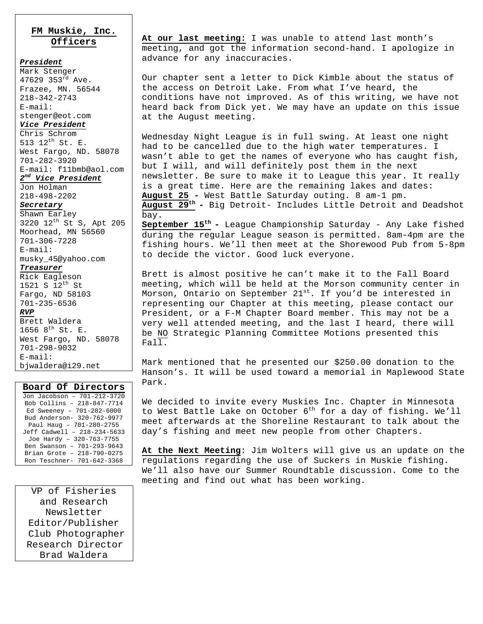### **FM Muskie, Inc. Officers**

#### *President*

Mark Stenger 47629 353rd Ave. Frazee, MN. 56544 218-342-2743 E-mail: stenger@eot.com *Vice President* Chris Schrom 513 12th St. E. West Fargo, ND. 58078 701-282-3920 E-mail: f11bmb@aol.com *2nd Vice President* Jon Holman 218-498-2202 *Secretary* Shawn Earley 3220 12th St S, Apt 205 Moorhead, MN 56560 701-306-7228 E-mail: musky\_45@yahoo.com *Treasurer* Rick Eagleson 1521 S 12th St Fargo, ND 58103 701-235-6536 *RVP*

Brett Waldera 1656  $8^{th}$  St. E. West Fargo, ND. 58078 701-298-9032 E-mail: bjwaldera@i29.net

#### **Board Of Directors** Jon Jacobson – 701-212-3720 Bob Collins – 218-847-7714 Ed Sweeney – 701-282-6000 Bud Anderson- 320-762-9977 Paul Haug – 701-280-2755 Jeff Cadwell – 218-234-5633 Joe Hardy – 320-763-7755 Ben Swanson – 701-293-9643 Brian Grote – 218-790-0275 Ron Teschner- 701-642-3368

VP of Fisheries and Research Newsletter Editor/Publisher Club Photographer Research Director Brad Waldera

**At our last meeting:** I was unable to attend last month's meeting, and got the information second-hand. I apologize in advance for any inaccuracies.

Our chapter sent a letter to Dick Kimble about the status of the access on Detroit Lake. From what I've heard, the conditions have not improved. As of this writing, we have not heard back from Dick yet. We may have an update on this issue at the August meeting.

Wednesday Night League is in full swing. At least one night had to be cancelled due to the high water temperatures. I wasn't able to get the names of everyone who has caught fish, but I will, and will definitely post them in the next newsletter. Be sure to make it to League this year. It really is a great time. Here are the remaining lakes and dates: **August 25 -** West Battle Saturday outing. 8 am-1 pm. **August 29th -** Big Detroit- Includes Little Detroit and Deadshot bay.

**September 15th -** League Championship Saturday - Any Lake fished during the regular League season is permitted. 8am-4pm are the fishing hours. We'll then meet at the Shorewood Pub from 5-8pm to decide the victor. Good luck everyone.

Brett is almost positive he can't make it to the Fall Board meeting, which will be held at the Morson community center in Morson, Ontario on September  $21^{st}$ . If you'd be interested in representing our Chapter at this meeting, please contact our President, or a F-M Chapter Board member. This may not be a very well attended meeting, and the last I heard, there will be NO Strategic Planning Committee Motions presented this Fall.

Mark mentioned that he presented our \$250.00 donation to the Hanson's. It will be used toward a memorial in Maplewood State Park.

We decided to invite every Muskies Inc. Chapter in Minnesota to West Battle Lake on October  $6^{th}$  for a day of fishing. We'll meet afterwards at the Shoreline Restaurant to talk about the day's fishing and meet new people from other Chapters.

**At the Next Meeting**: Jim Wolters will give us an update on the regulations regarding the use of Suckers in Muskie fishing. We'll also have our Summer Roundtable discussion. Come to the meeting and find out what has been working.